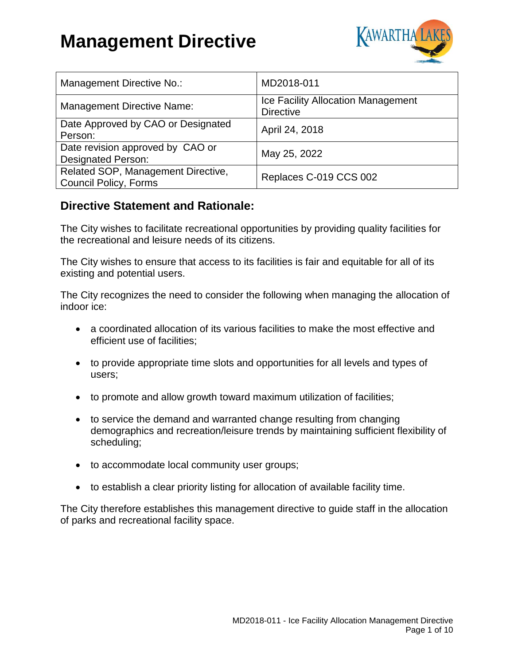

| Management Directive No.:                                          | MD2018-011                                                    |
|--------------------------------------------------------------------|---------------------------------------------------------------|
| <b>Management Directive Name:</b>                                  | <b>Ice Facility Allocation Management</b><br><b>Directive</b> |
| Date Approved by CAO or Designated<br>Person:                      | April 24, 2018                                                |
| Date revision approved by CAO or<br><b>Designated Person:</b>      | May 25, 2022                                                  |
| Related SOP, Management Directive,<br><b>Council Policy, Forms</b> | Replaces C-019 CCS 002                                        |

### **Directive Statement and Rationale:**

The City wishes to facilitate recreational opportunities by providing quality facilities for the recreational and leisure needs of its citizens.

The City wishes to ensure that access to its facilities is fair and equitable for all of its existing and potential users.

The City recognizes the need to consider the following when managing the allocation of indoor ice:

- a coordinated allocation of its various facilities to make the most effective and efficient use of facilities;
- to provide appropriate time slots and opportunities for all levels and types of users;
- to promote and allow growth toward maximum utilization of facilities;
- to service the demand and warranted change resulting from changing demographics and recreation/leisure trends by maintaining sufficient flexibility of scheduling;
- to accommodate local community user groups;
- to establish a clear priority listing for allocation of available facility time.

The City therefore establishes this management directive to guide staff in the allocation of parks and recreational facility space.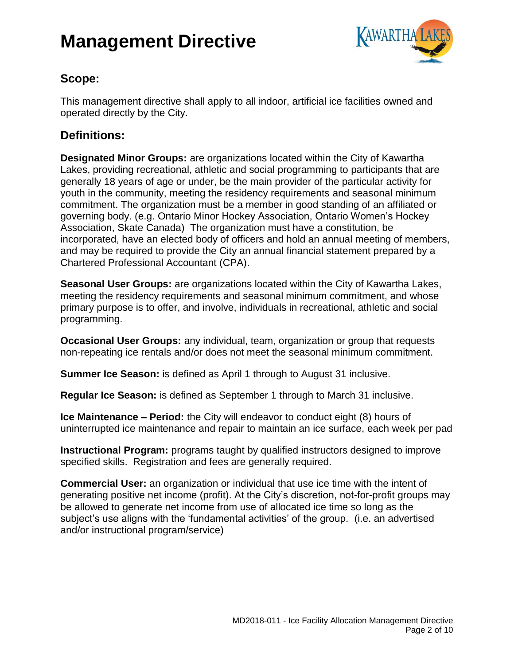

## **Scope:**

This management directive shall apply to all indoor, artificial ice facilities owned and operated directly by the City.

## **Definitions:**

**Designated Minor Groups:** are organizations located within the City of Kawartha Lakes, providing recreational, athletic and social programming to participants that are generally 18 years of age or under, be the main provider of the particular activity for youth in the community, meeting the residency requirements and seasonal minimum commitment. The organization must be a member in good standing of an affiliated or governing body. (e.g. Ontario Minor Hockey Association, Ontario Women's Hockey Association, Skate Canada) The organization must have a constitution, be incorporated, have an elected body of officers and hold an annual meeting of members, and may be required to provide the City an annual financial statement prepared by a Chartered Professional Accountant (CPA).

**Seasonal User Groups:** are organizations located within the City of Kawartha Lakes, meeting the residency requirements and seasonal minimum commitment, and whose primary purpose is to offer, and involve, individuals in recreational, athletic and social programming.

**Occasional User Groups:** any individual, team, organization or group that requests non-repeating ice rentals and/or does not meet the seasonal minimum commitment.

**Summer Ice Season:** is defined as April 1 through to August 31 inclusive.

**Regular Ice Season:** is defined as September 1 through to March 31 inclusive.

**Ice Maintenance – Period:** the City will endeavor to conduct eight (8) hours of uninterrupted ice maintenance and repair to maintain an ice surface, each week per pad

**Instructional Program:** programs taught by qualified instructors designed to improve specified skills. Registration and fees are generally required.

**Commercial User:** an organization or individual that use ice time with the intent of generating positive net income (profit). At the City's discretion, not-for-profit groups may be allowed to generate net income from use of allocated ice time so long as the subject's use aligns with the 'fundamental activities' of the group. (i.e. an advertised and/or instructional program/service)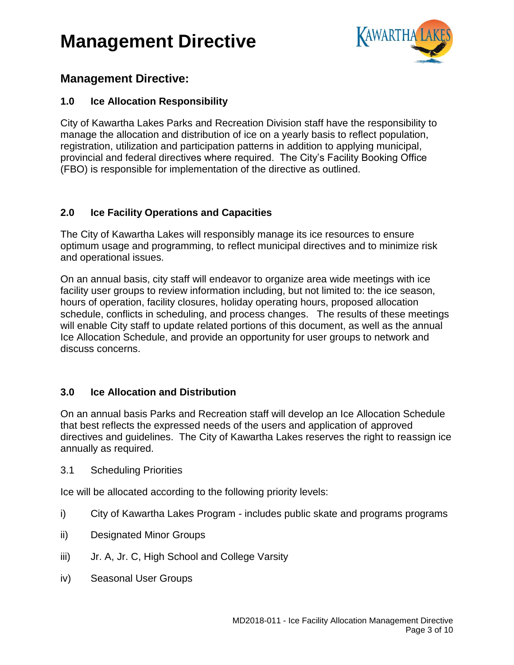

### **Management Directive:**

### **1.0 Ice Allocation Responsibility**

City of Kawartha Lakes Parks and Recreation Division staff have the responsibility to manage the allocation and distribution of ice on a yearly basis to reflect population, registration, utilization and participation patterns in addition to applying municipal, provincial and federal directives where required. The City's Facility Booking Office (FBO) is responsible for implementation of the directive as outlined.

### **2.0 Ice Facility Operations and Capacities**

The City of Kawartha Lakes will responsibly manage its ice resources to ensure optimum usage and programming, to reflect municipal directives and to minimize risk and operational issues.

On an annual basis, city staff will endeavor to organize area wide meetings with ice facility user groups to review information including, but not limited to: the ice season, hours of operation, facility closures, holiday operating hours, proposed allocation schedule, conflicts in scheduling, and process changes. The results of these meetings will enable City staff to update related portions of this document, as well as the annual Ice Allocation Schedule, and provide an opportunity for user groups to network and discuss concerns.

### **3.0 Ice Allocation and Distribution**

On an annual basis Parks and Recreation staff will develop an Ice Allocation Schedule that best reflects the expressed needs of the users and application of approved directives and guidelines. The City of Kawartha Lakes reserves the right to reassign ice annually as required.

3.1 Scheduling Priorities

Ice will be allocated according to the following priority levels:

- i) City of Kawartha Lakes Program includes public skate and programs programs
- ii) Designated Minor Groups
- iii) Jr. A, Jr. C, High School and College Varsity
- iv) Seasonal User Groups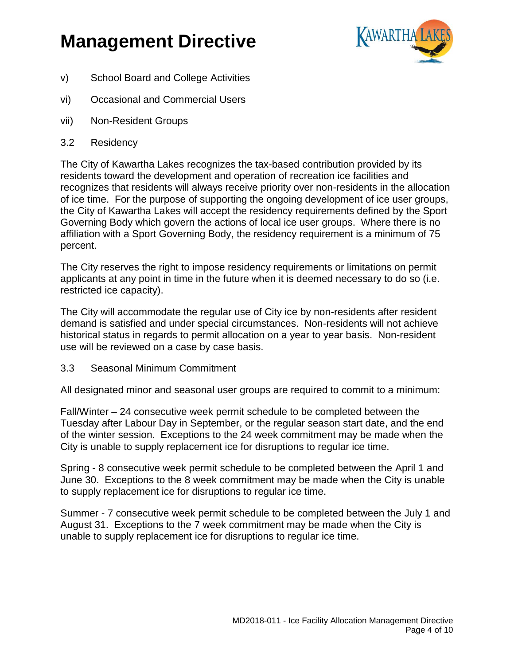

- v) School Board and College Activities
- vi) Occasional and Commercial Users
- vii) Non-Resident Groups
- 3.2 Residency

The City of Kawartha Lakes recognizes the tax-based contribution provided by its residents toward the development and operation of recreation ice facilities and recognizes that residents will always receive priority over non-residents in the allocation of ice time. For the purpose of supporting the ongoing development of ice user groups, the City of Kawartha Lakes will accept the residency requirements defined by the Sport Governing Body which govern the actions of local ice user groups. Where there is no affiliation with a Sport Governing Body, the residency requirement is a minimum of 75 percent.

The City reserves the right to impose residency requirements or limitations on permit applicants at any point in time in the future when it is deemed necessary to do so (i.e. restricted ice capacity).

The City will accommodate the regular use of City ice by non-residents after resident demand is satisfied and under special circumstances. Non-residents will not achieve historical status in regards to permit allocation on a year to year basis. Non-resident use will be reviewed on a case by case basis.

3.3 Seasonal Minimum Commitment

All designated minor and seasonal user groups are required to commit to a minimum:

Fall/Winter – 24 consecutive week permit schedule to be completed between the Tuesday after Labour Day in September, or the regular season start date, and the end of the winter session. Exceptions to the 24 week commitment may be made when the City is unable to supply replacement ice for disruptions to regular ice time.

Spring - 8 consecutive week permit schedule to be completed between the April 1 and June 30. Exceptions to the 8 week commitment may be made when the City is unable to supply replacement ice for disruptions to regular ice time.

Summer - 7 consecutive week permit schedule to be completed between the July 1 and August 31. Exceptions to the 7 week commitment may be made when the City is unable to supply replacement ice for disruptions to regular ice time.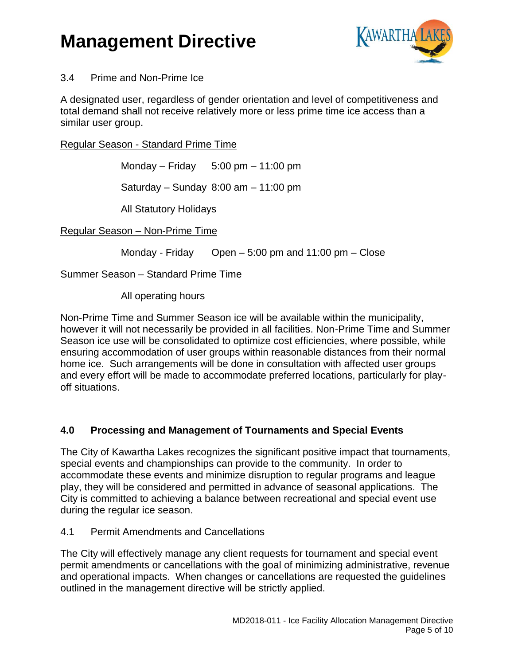

#### 3.4 Prime and Non-Prime Ice

A designated user, regardless of gender orientation and level of competitiveness and total demand shall not receive relatively more or less prime time ice access than a similar user group.

Regular Season - Standard Prime Time

Monday – Friday  $5:00 \text{ pm} - 11:00 \text{ pm}$ 

Saturday – Sunday 8:00 am – 11:00 pm

All Statutory Holidays

Regular Season – Non-Prime Time

Monday - Friday Open – 5:00 pm and 11:00 pm – Close

Summer Season – Standard Prime Time

All operating hours

Non-Prime Time and Summer Season ice will be available within the municipality, however it will not necessarily be provided in all facilities. Non-Prime Time and Summer Season ice use will be consolidated to optimize cost efficiencies, where possible, while ensuring accommodation of user groups within reasonable distances from their normal home ice. Such arrangements will be done in consultation with affected user groups and every effort will be made to accommodate preferred locations, particularly for playoff situations.

### **4.0 Processing and Management of Tournaments and Special Events**

The City of Kawartha Lakes recognizes the significant positive impact that tournaments, special events and championships can provide to the community. In order to accommodate these events and minimize disruption to regular programs and league play, they will be considered and permitted in advance of seasonal applications. The City is committed to achieving a balance between recreational and special event use during the regular ice season.

4.1 Permit Amendments and Cancellations

The City will effectively manage any client requests for tournament and special event permit amendments or cancellations with the goal of minimizing administrative, revenue and operational impacts. When changes or cancellations are requested the guidelines outlined in the management directive will be strictly applied.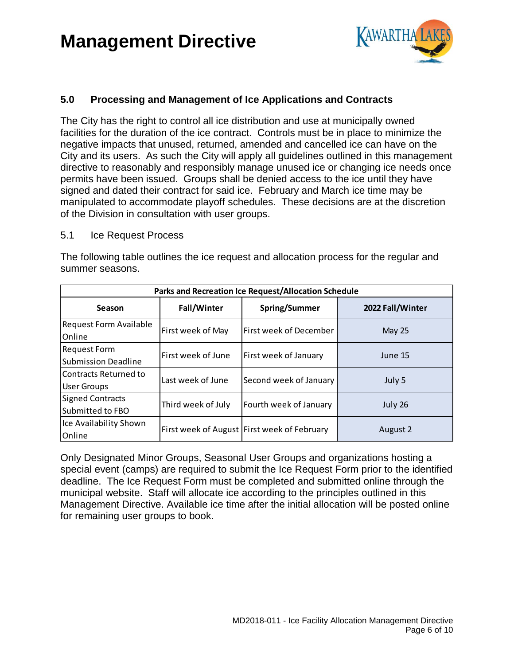

### **5.0 Processing and Management of Ice Applications and Contracts**

The City has the right to control all ice distribution and use at municipally owned facilities for the duration of the ice contract. Controls must be in place to minimize the negative impacts that unused, returned, amended and cancelled ice can have on the City and its users. As such the City will apply all guidelines outlined in this management directive to reasonably and responsibly manage unused ice or changing ice needs once permits have been issued. Groups shall be denied access to the ice until they have signed and dated their contract for said ice. February and March ice time may be manipulated to accommodate playoff schedules. These decisions are at the discretion of the Division in consultation with user groups.

#### 5.1 Ice Request Process

The following table outlines the ice request and allocation process for the regular and summer seasons.

| Parks and Recreation Ice Request/Allocation Schedule |                    |                                             |                  |  |  |  |
|------------------------------------------------------|--------------------|---------------------------------------------|------------------|--|--|--|
| Season                                               | <b>Fall/Winter</b> | Spring/Summer                               | 2022 Fall/Winter |  |  |  |
| <b>Request Form Available</b><br>Online              | First week of May  | First week of December                      | <b>May 25</b>    |  |  |  |
| <b>Request Form</b><br><b>Submission Deadline</b>    | First week of June | First week of January                       | June 15          |  |  |  |
| Contracts Returned to<br>User Groups                 | Last week of June  | Second week of January                      | July 5           |  |  |  |
| <b>Signed Contracts</b><br>Submitted to FBO          | Third week of July | Fourth week of January                      | July 26          |  |  |  |
| Ice Availability Shown<br>Online                     |                    | First week of August First week of February | August 2         |  |  |  |

Only Designated Minor Groups, Seasonal User Groups and organizations hosting a special event (camps) are required to submit the Ice Request Form prior to the identified deadline. The Ice Request Form must be completed and submitted online through the municipal website. Staff will allocate ice according to the principles outlined in this Management Directive. Available ice time after the initial allocation will be posted online for remaining user groups to book.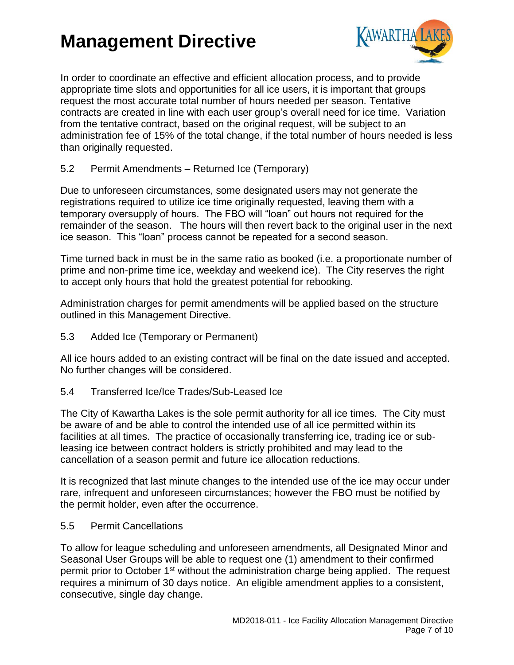

In order to coordinate an effective and efficient allocation process, and to provide appropriate time slots and opportunities for all ice users, it is important that groups request the most accurate total number of hours needed per season. Tentative contracts are created in line with each user group's overall need for ice time. Variation from the tentative contract, based on the original request, will be subject to an administration fee of 15% of the total change, if the total number of hours needed is less than originally requested.

5.2 Permit Amendments – Returned Ice (Temporary)

Due to unforeseen circumstances, some designated users may not generate the registrations required to utilize ice time originally requested, leaving them with a temporary oversupply of hours. The FBO will "loan" out hours not required for the remainder of the season. The hours will then revert back to the original user in the next ice season. This "loan" process cannot be repeated for a second season.

Time turned back in must be in the same ratio as booked (i.e. a proportionate number of prime and non-prime time ice, weekday and weekend ice). The City reserves the right to accept only hours that hold the greatest potential for rebooking.

Administration charges for permit amendments will be applied based on the structure outlined in this Management Directive.

5.3 Added Ice (Temporary or Permanent)

All ice hours added to an existing contract will be final on the date issued and accepted. No further changes will be considered.

5.4 Transferred Ice/Ice Trades/Sub-Leased Ice

The City of Kawartha Lakes is the sole permit authority for all ice times. The City must be aware of and be able to control the intended use of all ice permitted within its facilities at all times. The practice of occasionally transferring ice, trading ice or subleasing ice between contract holders is strictly prohibited and may lead to the cancellation of a season permit and future ice allocation reductions.

It is recognized that last minute changes to the intended use of the ice may occur under rare, infrequent and unforeseen circumstances; however the FBO must be notified by the permit holder, even after the occurrence.

#### 5.5 Permit Cancellations

To allow for league scheduling and unforeseen amendments, all Designated Minor and Seasonal User Groups will be able to request one (1) amendment to their confirmed permit prior to October  $1<sup>st</sup>$  without the administration charge being applied. The request requires a minimum of 30 days notice. An eligible amendment applies to a consistent, consecutive, single day change.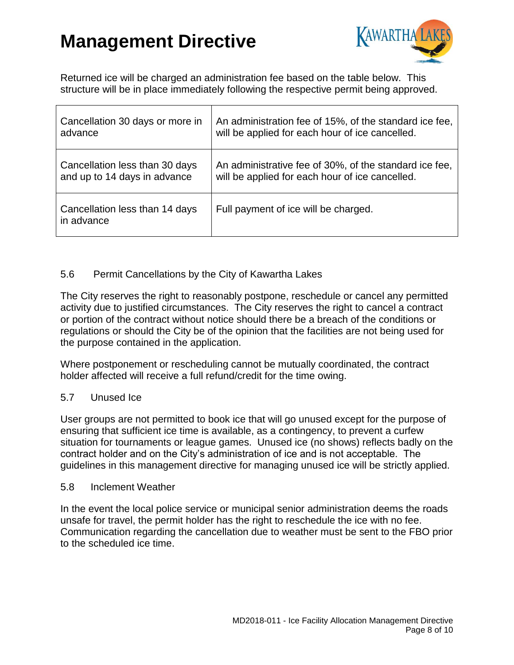

Returned ice will be charged an administration fee based on the table below. This structure will be in place immediately following the respective permit being approved.

| Cancellation 30 days or more in              | An administration fee of 15%, of the standard ice fee, |
|----------------------------------------------|--------------------------------------------------------|
| advance                                      | will be applied for each hour of ice cancelled.        |
| Cancellation less than 30 days               | An administrative fee of 30%, of the standard ice fee, |
| and up to 14 days in advance                 | will be applied for each hour of ice cancelled.        |
| Cancellation less than 14 days<br>in advance | Full payment of ice will be charged.                   |

### 5.6 Permit Cancellations by the City of Kawartha Lakes

The City reserves the right to reasonably postpone, reschedule or cancel any permitted activity due to justified circumstances. The City reserves the right to cancel a contract or portion of the contract without notice should there be a breach of the conditions or regulations or should the City be of the opinion that the facilities are not being used for the purpose contained in the application.

Where postponement or rescheduling cannot be mutually coordinated, the contract holder affected will receive a full refund/credit for the time owing.

#### 5.7 Unused Ice

User groups are not permitted to book ice that will go unused except for the purpose of ensuring that sufficient ice time is available, as a contingency, to prevent a curfew situation for tournaments or league games. Unused ice (no shows) reflects badly on the contract holder and on the City's administration of ice and is not acceptable. The guidelines in this management directive for managing unused ice will be strictly applied.

#### 5.8 Inclement Weather

In the event the local police service or municipal senior administration deems the roads unsafe for travel, the permit holder has the right to reschedule the ice with no fee. Communication regarding the cancellation due to weather must be sent to the FBO prior to the scheduled ice time.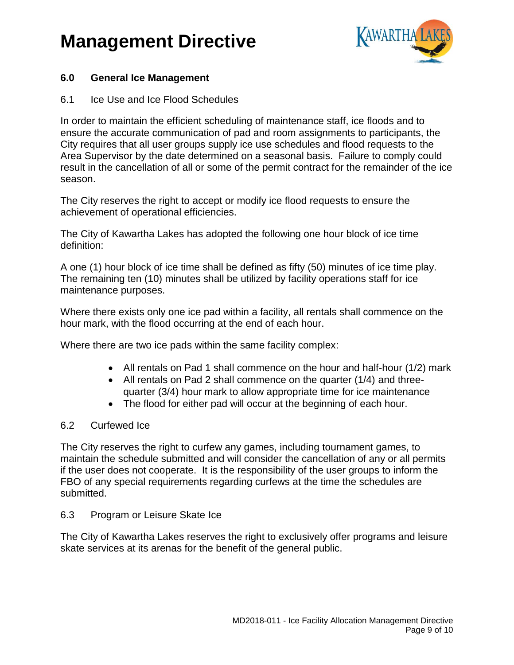

### **6.0 General Ice Management**

#### 6.1 Ice Use and Ice Flood Schedules

In order to maintain the efficient scheduling of maintenance staff, ice floods and to ensure the accurate communication of pad and room assignments to participants, the City requires that all user groups supply ice use schedules and flood requests to the Area Supervisor by the date determined on a seasonal basis. Failure to comply could result in the cancellation of all or some of the permit contract for the remainder of the ice season.

The City reserves the right to accept or modify ice flood requests to ensure the achievement of operational efficiencies.

The City of Kawartha Lakes has adopted the following one hour block of ice time definition:

A one (1) hour block of ice time shall be defined as fifty (50) minutes of ice time play. The remaining ten (10) minutes shall be utilized by facility operations staff for ice maintenance purposes.

Where there exists only one ice pad within a facility, all rentals shall commence on the hour mark, with the flood occurring at the end of each hour.

Where there are two ice pads within the same facility complex:

- All rentals on Pad 1 shall commence on the hour and half-hour (1/2) mark
- All rentals on Pad 2 shall commence on the quarter (1/4) and threequarter (3/4) hour mark to allow appropriate time for ice maintenance
- The flood for either pad will occur at the beginning of each hour.

#### 6.2 Curfewed Ice

The City reserves the right to curfew any games, including tournament games, to maintain the schedule submitted and will consider the cancellation of any or all permits if the user does not cooperate. It is the responsibility of the user groups to inform the FBO of any special requirements regarding curfews at the time the schedules are submitted.

#### 6.3 Program or Leisure Skate Ice

The City of Kawartha Lakes reserves the right to exclusively offer programs and leisure skate services at its arenas for the benefit of the general public.